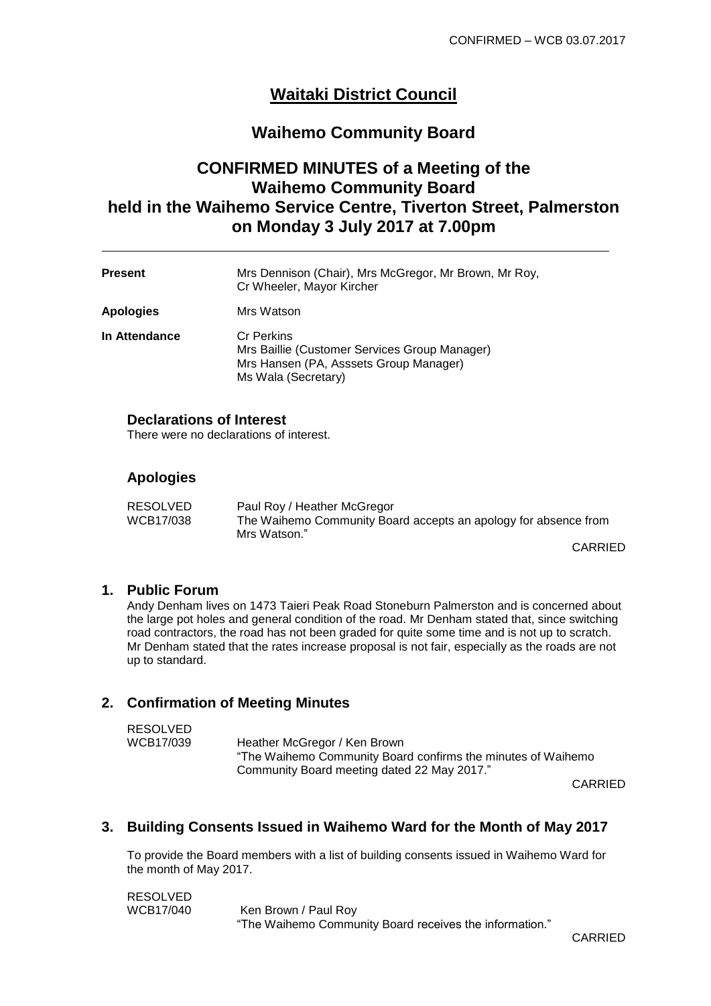# **Waitaki District Council**

# **Waihemo Community Board**

# **CONFIRMED MINUTES of a Meeting of the Waihemo Community Board held in the Waihemo Service Centre, Tiverton Street, Palmerston on Monday 3 July 2017 at 7.00pm**

| <b>Present</b>   | Mrs Dennison (Chair), Mrs McGregor, Mr Brown, Mr Roy,<br>Cr Wheeler, Mayor Kircher                                                  |
|------------------|-------------------------------------------------------------------------------------------------------------------------------------|
| <b>Apologies</b> | Mrs Watson                                                                                                                          |
| In Attendance    | <b>Cr Perkins</b><br>Mrs Baillie (Customer Services Group Manager)<br>Mrs Hansen (PA, Asssets Group Manager)<br>Ms Wala (Secretary) |

#### **Declarations of Interest** There were no declarations of interest.

# **Apologies**

| RESOLVED  | Paul Roy / Heather McGregor                                                     |
|-----------|---------------------------------------------------------------------------------|
| WCB17/038 | The Waihemo Community Board accepts an apology for absence from<br>Mrs Watson." |
|           |                                                                                 |

CARRIED

## **1. Public Forum**

Andy Denham lives on [1473 Taieri Peak Road Stoneburn Palmerston a](https://whitepages.co.nz/w/102170474/)nd is concerned about the large pot holes and general condition of the road. Mr Denham stated that, since switching road contractors, the road has not been graded for quite some time and is not up to scratch. Mr Denham stated that the rates increase proposal is not fair, especially as the roads are not up to standard.

## **2. Confirmation of Meeting Minutes**

| RESOLVED  |                                                              |
|-----------|--------------------------------------------------------------|
| WCB17/039 | Heather McGregor / Ken Brown                                 |
|           | "The Waihemo Community Board confirms the minutes of Waihemo |
|           | Community Board meeting dated 22 May 2017."                  |
|           |                                                              |

CARRIED

# **3. Building Consents Issued in Waihemo Ward for the Month of May 2017**

To provide the Board members with a list of building consents issued in Waihemo Ward for the month of May 2017.

RESOLVED<br>WCB17/040 Ken Brown / Paul Roy "The Waihemo Community Board receives the information."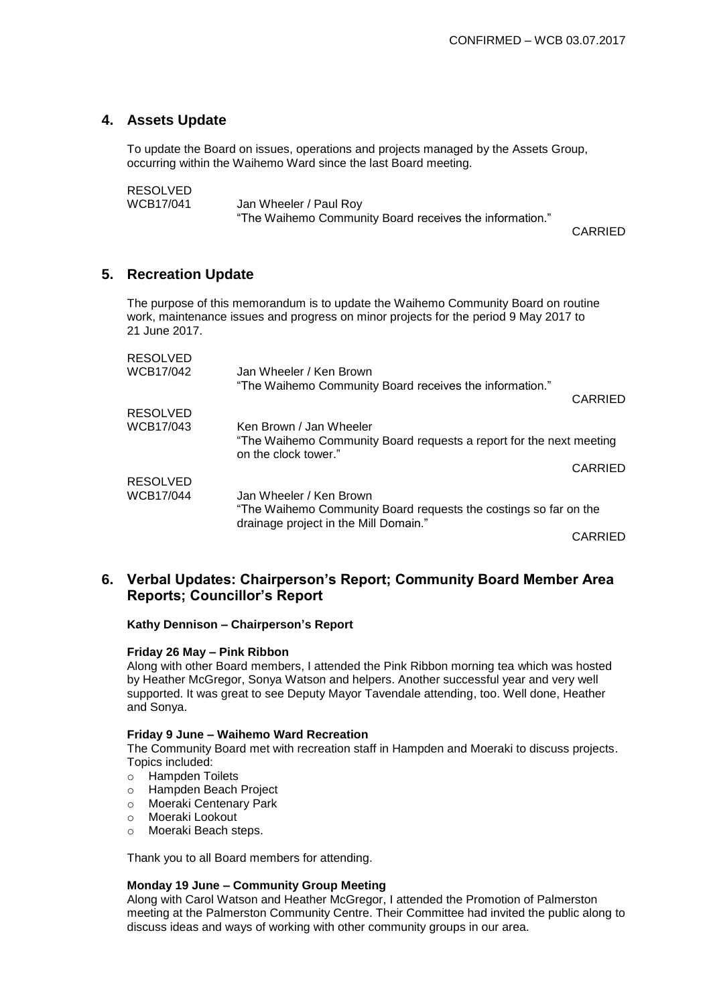# **4. Assets Update**

To update the Board on issues, operations and projects managed by the Assets Group, occurring within the Waihemo Ward since the last Board meeting.

RESOLVED

WCB17/041 Jan Wheeler / Paul Roy "The Waihemo Community Board receives the information."

CARRIED

# **5. Recreation Update**

The purpose of this memorandum is to update the Waihemo Community Board on routine work, maintenance issues and progress on minor projects for the period 9 May 2017 to 21 June 2017.

| <b>RESOLVED</b><br>WCB17/042 | Jan Wheeler / Ken Brown                                                                     |         |
|------------------------------|---------------------------------------------------------------------------------------------|---------|
|                              | "The Waihemo Community Board receives the information."                                     | CARRIED |
| RESOLVED                     |                                                                                             |         |
| WCB17/043                    | Ken Brown / Jan Wheeler                                                                     |         |
|                              | "The Waihemo Community Board requests a report for the next meeting<br>on the clock tower." |         |
|                              |                                                                                             | CARRIED |
| RESOLVED                     |                                                                                             |         |
| WCB17/044                    | Jan Wheeler / Ken Brown                                                                     |         |
|                              | "The Waihemo Community Board requests the costings so far on the                            |         |
|                              | drainage project in the Mill Domain."                                                       | CARRIED |

# **6. Verbal Updates: Chairperson's Report; Community Board Member Area Reports; Councillor's Report**

**Kathy Dennison – Chairperson's Report**

## **Friday 26 May – Pink Ribbon**

Along with other Board members, I attended the Pink Ribbon morning tea which was hosted by Heather McGregor, Sonya Watson and helpers. Another successful year and very well supported. It was great to see Deputy Mayor Tavendale attending, too. Well done, Heather and Sonya.

### **Friday 9 June – Waihemo Ward Recreation**

The Community Board met with recreation staff in Hampden and Moeraki to discuss projects. Topics included:

- o Hampden Toilets
- o Hampden Beach Project
- o Moeraki Centenary Park
- o Moeraki Lookout
- o Moeraki Beach steps.

Thank you to all Board members for attending.

## **Monday 19 June – Community Group Meeting**

Along with Carol Watson and Heather McGregor, I attended the Promotion of Palmerston meeting at the Palmerston Community Centre. Their Committee had invited the public along to discuss ideas and ways of working with other community groups in our area.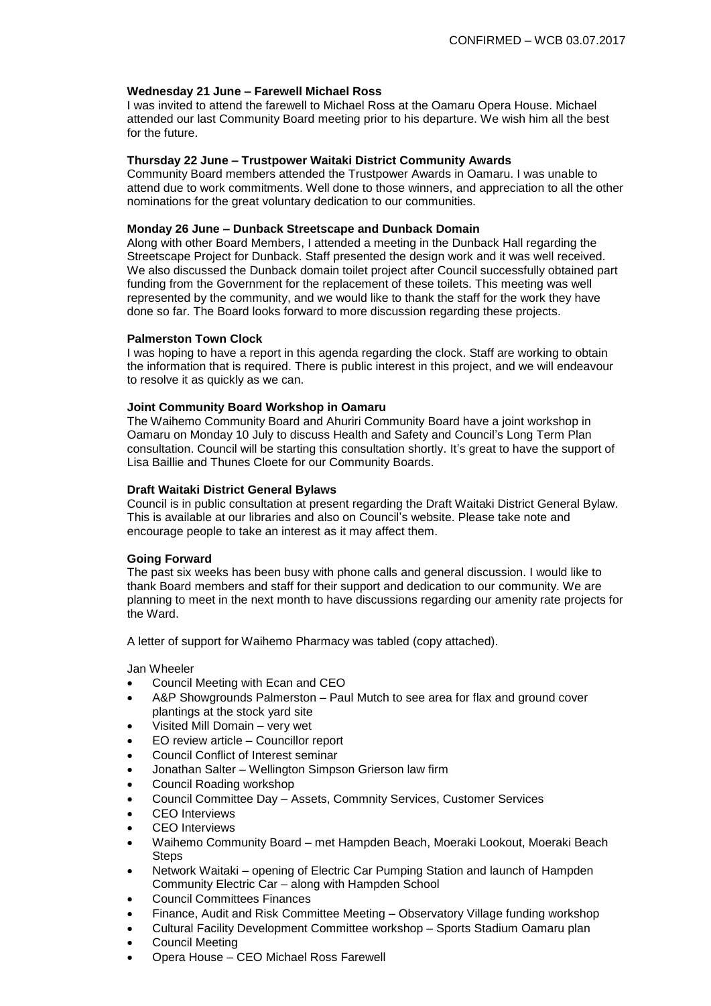### **Wednesday 21 June – Farewell Michael Ross**

I was invited to attend the farewell to Michael Ross at the Oamaru Opera House. Michael attended our last Community Board meeting prior to his departure. We wish him all the best for the future.

### **Thursday 22 June – Trustpower Waitaki District Community Awards**

Community Board members attended the Trustpower Awards in Oamaru. I was unable to attend due to work commitments. Well done to those winners, and appreciation to all the other nominations for the great voluntary dedication to our communities.

## **Monday 26 June – Dunback Streetscape and Dunback Domain**

Along with other Board Members, I attended a meeting in the Dunback Hall regarding the Streetscape Project for Dunback. Staff presented the design work and it was well received. We also discussed the Dunback domain toilet project after Council successfully obtained part funding from the Government for the replacement of these toilets. This meeting was well represented by the community, and we would like to thank the staff for the work they have done so far. The Board looks forward to more discussion regarding these projects.

#### **Palmerston Town Clock**

I was hoping to have a report in this agenda regarding the clock. Staff are working to obtain the information that is required. There is public interest in this project, and we will endeavour to resolve it as quickly as we can.

#### **Joint Community Board Workshop in Oamaru**

The Waihemo Community Board and Ahuriri Community Board have a joint workshop in Oamaru on Monday 10 July to discuss Health and Safety and Council's Long Term Plan consultation. Council will be starting this consultation shortly. It's great to have the support of Lisa Baillie and Thunes Cloete for our Community Boards.

### **Draft Waitaki District General Bylaws**

Council is in public consultation at present regarding the Draft Waitaki District General Bylaw. This is available at our libraries and also on Council's website. Please take note and encourage people to take an interest as it may affect them.

#### **Going Forward**

The past six weeks has been busy with phone calls and general discussion. I would like to thank Board members and staff for their support and dedication to our community. We are planning to meet in the next month to have discussions regarding our amenity rate projects for the Ward.

A letter of support for Waihemo Pharmacy was tabled (copy attached).

#### Jan Wheeler

- Council Meeting with Ecan and CEO
- A&P Showgrounds Palmerston Paul Mutch to see area for flax and ground cover plantings at the stock yard site
- Visited Mill Domain very wet
- EO review article Councillor report
- Council Conflict of Interest seminar
- Jonathan Salter Wellington Simpson Grierson law firm
- Council Roading workshop
- Council Committee Day Assets, Commnity Services, Customer Services
- CEO Interviews
- CEO Interviews
- Waihemo Community Board met Hampden Beach, Moeraki Lookout, Moeraki Beach **Steps**
- Network Waitaki opening of Electric Car Pumping Station and launch of Hampden Community Electric Car – along with Hampden School
- Council Committees Finances
- Finance, Audit and Risk Committee Meeting Observatory Village funding workshop
- Cultural Facility Development Committee workshop Sports Stadium Oamaru plan
- Council Meeting
- Opera House CEO Michael Ross Farewell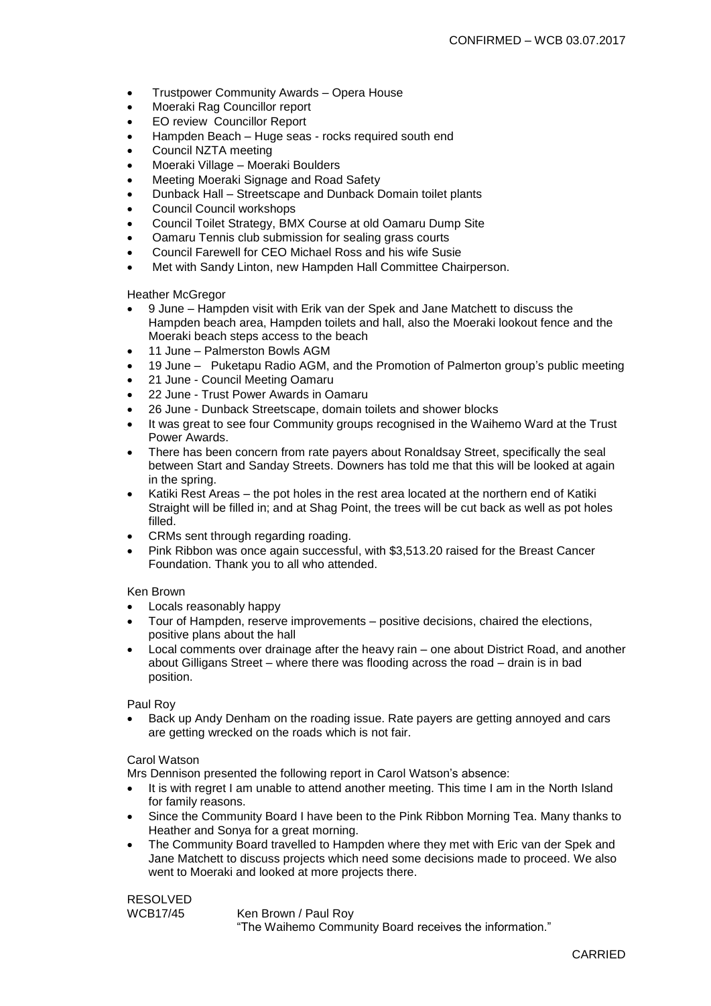- Trustpower Community Awards Opera House
- Moeraki Rag Councillor report
- EO review Councillor Report
- Hampden Beach Huge seas rocks required south end
- Council NZTA meeting
- Moeraki Village Moeraki Boulders
- Meeting Moeraki Signage and Road Safety
- Dunback Hall Streetscape and Dunback Domain toilet plants
- Council Council workshops
- Council Toilet Strategy, BMX Course at old Oamaru Dump Site
- Oamaru Tennis club submission for sealing grass courts
- Council Farewell for CEO Michael Ross and his wife Susie
- Met with Sandy Linton, new Hampden Hall Committee Chairperson.

Heather McGregor

- 9 June Hampden visit with Erik van der Spek and Jane Matchett to discuss the Hampden beach area, Hampden toilets and hall, also the Moeraki lookout fence and the Moeraki beach steps access to the beach
- 11 June Palmerston Bowls AGM
- 19 June Puketapu Radio AGM, and the Promotion of Palmerton group's public meeting
- 21 June Council Meeting Oamaru
- 22 June Trust Power Awards in Oamaru
- 26 June Dunback Streetscape, domain toilets and shower blocks
- It was great to see four Community groups recognised in the Waihemo Ward at the Trust Power Awards.
- There has been concern from rate payers about Ronaldsay Street, specifically the seal between Start and Sanday Streets. Downers has told me that this will be looked at again in the spring.
- Katiki Rest Areas the pot holes in the rest area located at the northern end of Katiki Straight will be filled in; and at Shag Point, the trees will be cut back as well as pot holes filled.
- CRMs sent through regarding roading.
- Pink Ribbon was once again successful, with \$3,513.20 raised for the Breast Cancer Foundation. Thank you to all who attended.

Ken Brown

- Locals reasonably happy
- Tour of Hampden, reserve improvements positive decisions, chaired the elections, positive plans about the hall
- Local comments over drainage after the heavy rain one about District Road, and another about Gilligans Street – where there was flooding across the road – drain is in bad position.

Paul Roy

 Back up Andy Denham on the roading issue. Rate payers are getting annoyed and cars are getting wrecked on the roads which is not fair.

Carol Watson

Mrs Dennison presented the following report in Carol Watson's absence:

- It is with regret I am unable to attend another meeting. This time I am in the North Island for family reasons.
- Since the Community Board I have been to the Pink Ribbon Morning Tea. Many thanks to Heather and Sonya for a great morning.
- The Community Board travelled to Hampden where they met with Eric van der Spek and Jane Matchett to discuss projects which need some decisions made to proceed. We also went to Moeraki and looked at more projects there.

RESOLVED

WCB17/45 Ken Brown / Paul Roy

"The Waihemo Community Board receives the information."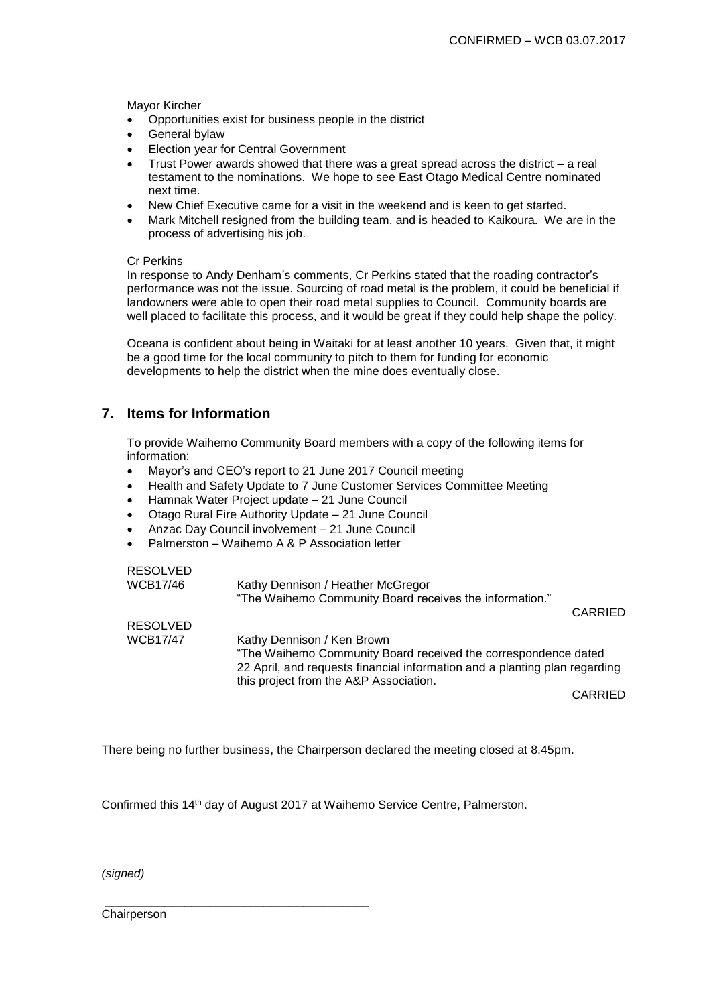Mayor Kircher

- Opportunities exist for business people in the district
- General bylaw
- Election year for Central Government
- Trust Power awards showed that there was a great spread across the district a real testament to the nominations. We hope to see East Otago Medical Centre nominated next time.
- New Chief Executive came for a visit in the weekend and is keen to get started.
- Mark Mitchell resigned from the building team, and is headed to Kaikoura. We are in the process of advertising his job.

## Cr Perkins

In response to Andy Denham's comments, Cr Perkins stated that the roading contractor's performance was not the issue. Sourcing of road metal is the problem, it could be beneficial if landowners were able to open their road metal supplies to Council. Community boards are well placed to facilitate this process, and it would be great if they could help shape the policy.

Oceana is confident about being in Waitaki for at least another 10 years. Given that, it might be a good time for the local community to pitch to them for funding for economic developments to help the district when the mine does eventually close.

# **7. Items for Information**

To provide Waihemo Community Board members with a copy of the following items for information:

- Mayor's and CEO's report to 21 June 2017 Council meeting
- Health and Safety Update to 7 June Customer Services Committee Meeting
- Hamnak Water Project update 21 June Council
- Otago Rural Fire Authority Update 21 June Council
- Anzac Day Council involvement 21 June Council
- Palmerston Waihemo A & P Association letter

| <b>RESOLVED</b><br><b>WCB17/46</b>                                                                                                                                                                                   | Kathy Dennison / Heather McGregor<br>"The Waihemo Community Board receives the information." |                |
|----------------------------------------------------------------------------------------------------------------------------------------------------------------------------------------------------------------------|----------------------------------------------------------------------------------------------|----------------|
| <b>RESOLVED</b>                                                                                                                                                                                                      |                                                                                              | <b>CARRIED</b> |
| <b>WCB17/47</b>                                                                                                                                                                                                      |                                                                                              |                |
| Kathy Dennison / Ken Brown<br>"The Waihemo Community Board received the correspondence dated<br>22 April, and requests financial information and a planting plan regarding<br>this project from the A&P Association. |                                                                                              |                |
|                                                                                                                                                                                                                      |                                                                                              | CARRIED        |

There being no further business, the Chairperson declared the meeting closed at 8.45pm.

Confirmed this 14th day of August 2017 at Waihemo Service Centre, Palmerston.

\_\_\_\_\_\_\_\_\_\_\_\_\_\_\_\_\_\_\_\_\_\_\_\_\_\_\_\_\_\_\_\_\_\_\_\_\_\_\_\_

*(signed)*

**Chairperson**